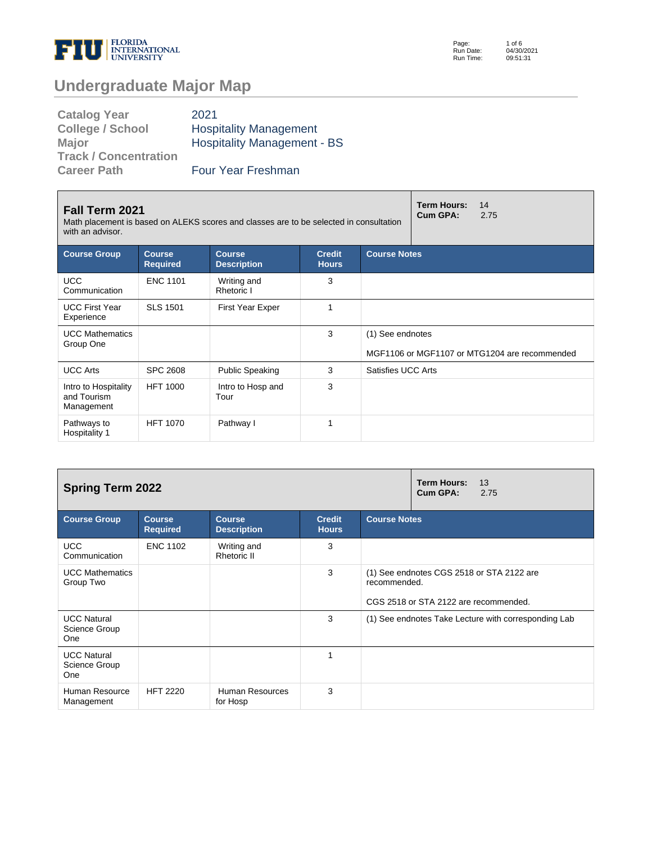

| <b>Catalog Year</b>          | 2021                               |
|------------------------------|------------------------------------|
| <b>College / School</b>      | <b>Hospitality Management</b>      |
| <b>Major</b>                 | <b>Hospitality Management - BS</b> |
| <b>Track / Concentration</b> |                                    |
| <b>Career Path</b>           | <b>Four Year Freshman</b>          |

| <b>Fall Term 2021</b><br>Math placement is based on ALEKS scores and classes are to be selected in consultation<br>with an advisor. |                                  | <b>Term Hours:</b><br>14<br><b>Cum GPA:</b><br>2.75 |                               |                     |                                               |  |
|-------------------------------------------------------------------------------------------------------------------------------------|----------------------------------|-----------------------------------------------------|-------------------------------|---------------------|-----------------------------------------------|--|
| <b>Course Group</b>                                                                                                                 | <b>Course</b><br><b>Required</b> | <b>Course</b><br><b>Description</b>                 | <b>Credit</b><br><b>Hours</b> | <b>Course Notes</b> |                                               |  |
| <b>UCC</b><br>Communication                                                                                                         | <b>ENC 1101</b>                  | Writing and<br>Rhetoric I                           | 3                             |                     |                                               |  |
| <b>UCC First Year</b><br>Experience                                                                                                 | <b>SLS 1501</b>                  | First Year Exper                                    | 1                             |                     |                                               |  |
| <b>UCC Mathematics</b><br>Group One                                                                                                 |                                  |                                                     | 3                             | (1) See endnotes    | MGF1106 or MGF1107 or MTG1204 are recommended |  |
| <b>UCC Arts</b>                                                                                                                     | <b>SPC 2608</b>                  | <b>Public Speaking</b>                              | 3                             | Satisfies UCC Arts  |                                               |  |
| Intro to Hospitality<br>and Tourism<br>Management                                                                                   | <b>HFT 1000</b>                  | Intro to Hosp and<br>Tour                           | 3                             |                     |                                               |  |
| Pathways to<br>Hospitality 1                                                                                                        | <b>HFT 1070</b>                  | Pathway I                                           |                               |                     |                                               |  |

| <b>Spring Term 2022</b>                           |                                  | <b>Term Hours:</b><br>13<br>Cum GPA:<br>2.75 |                               |                                                                                                    |
|---------------------------------------------------|----------------------------------|----------------------------------------------|-------------------------------|----------------------------------------------------------------------------------------------------|
| <b>Course Group</b>                               | <b>Course</b><br><b>Required</b> | <b>Course</b><br><b>Description</b>          | <b>Credit</b><br><b>Hours</b> | <b>Course Notes</b>                                                                                |
| <b>UCC</b><br>Communication                       | <b>ENC 1102</b>                  | Writing and<br>Rhetoric II                   | 3                             |                                                                                                    |
| <b>UCC Mathematics</b><br>Group Two               |                                  |                                              | 3                             | (1) See endnotes CGS 2518 or STA 2122 are<br>recommended.<br>CGS 2518 or STA 2122 are recommended. |
| <b>UCC Natural</b><br>Science Group<br><b>One</b> |                                  |                                              | 3                             | (1) See endnotes Take Lecture with corresponding Lab                                               |
| <b>UCC Natural</b><br>Science Group<br>One        |                                  |                                              | 1                             |                                                                                                    |
| Human Resource<br>Management                      | <b>HFT 2220</b>                  | Human Resources<br>for Hosp                  | 3                             |                                                                                                    |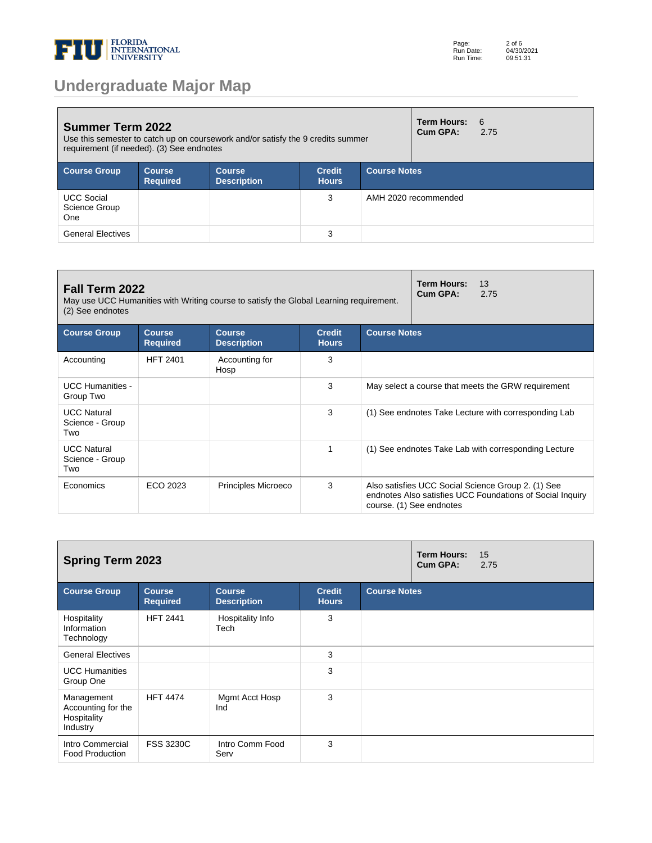

| <b>Summer Term 2022</b><br>Use this semester to catch up on coursework and/or satisfy the 9 credits summer<br>requirement (if needed). (3) See endnotes |                                  |                              |                               |                     | <b>Term Hours:</b><br>Cum GPA: | 6<br>2.75 |
|---------------------------------------------------------------------------------------------------------------------------------------------------------|----------------------------------|------------------------------|-------------------------------|---------------------|--------------------------------|-----------|
| <b>Course Group</b>                                                                                                                                     | <b>Course</b><br><b>Required</b> | <b>Course</b><br>Description | <b>Credit</b><br><b>Hours</b> | <b>Course Notes</b> |                                |           |
| <b>UCC Social</b><br>Science Group<br>One                                                                                                               |                                  |                              | 3                             |                     | AMH 2020 recommended           |           |
| <b>General Electives</b>                                                                                                                                |                                  |                              | 3                             |                     |                                |           |

| Fall Term 2022<br>May use UCC Humanities with Writing course to satisfy the Global Learning requirement.<br>(2) See endnotes |                                  |                                     |                               |                     | <b>Term Hours:</b><br>13<br>Cum GPA:<br>2.75                                                                                                |  |  |
|------------------------------------------------------------------------------------------------------------------------------|----------------------------------|-------------------------------------|-------------------------------|---------------------|---------------------------------------------------------------------------------------------------------------------------------------------|--|--|
| <b>Course Group</b>                                                                                                          | <b>Course</b><br><b>Required</b> | <b>Course</b><br><b>Description</b> | <b>Credit</b><br><b>Hours</b> | <b>Course Notes</b> |                                                                                                                                             |  |  |
| Accounting                                                                                                                   | <b>HFT 2401</b>                  | Accounting for<br>Hosp              | 3                             |                     |                                                                                                                                             |  |  |
| <b>UCC Humanities -</b><br>Group Two                                                                                         |                                  |                                     | 3                             |                     | May select a course that meets the GRW requirement                                                                                          |  |  |
| <b>UCC Natural</b><br>Science - Group<br>Two                                                                                 |                                  |                                     | 3                             |                     | (1) See endnotes Take Lecture with corresponding Lab                                                                                        |  |  |
| <b>UCC Natural</b><br>Science - Group<br>Two                                                                                 |                                  |                                     | 1                             |                     | (1) See endnotes Take Lab with corresponding Lecture                                                                                        |  |  |
| Economics                                                                                                                    | ECO 2023                         | Principles Microeco                 | 3                             |                     | Also satisfies UCC Social Science Group 2. (1) See<br>endnotes Also satisfies UCC Foundations of Social Inquiry<br>course. (1) See endnotes |  |  |

| <b>Spring Term 2023</b>                                     |                                  |                                     |                               |                     | <b>Term Hours:</b><br>Cum GPA: | 15<br>2.75 |
|-------------------------------------------------------------|----------------------------------|-------------------------------------|-------------------------------|---------------------|--------------------------------|------------|
| <b>Course Group</b>                                         | <b>Course</b><br><b>Required</b> | <b>Course</b><br><b>Description</b> | <b>Credit</b><br><b>Hours</b> | <b>Course Notes</b> |                                |            |
| Hospitality<br>Information<br>Technology                    | <b>HFT 2441</b>                  | Hospitality Info<br>Tech            | 3                             |                     |                                |            |
| <b>General Electives</b>                                    |                                  |                                     | 3                             |                     |                                |            |
| <b>UCC Humanities</b><br>Group One                          |                                  |                                     | 3                             |                     |                                |            |
| Management<br>Accounting for the<br>Hospitality<br>Industry | <b>HFT 4474</b>                  | Mgmt Acct Hosp<br>Ind               | 3                             |                     |                                |            |
| Intro Commercial<br><b>Food Production</b>                  | <b>FSS 3230C</b>                 | Intro Comm Food<br>Serv             | 3                             |                     |                                |            |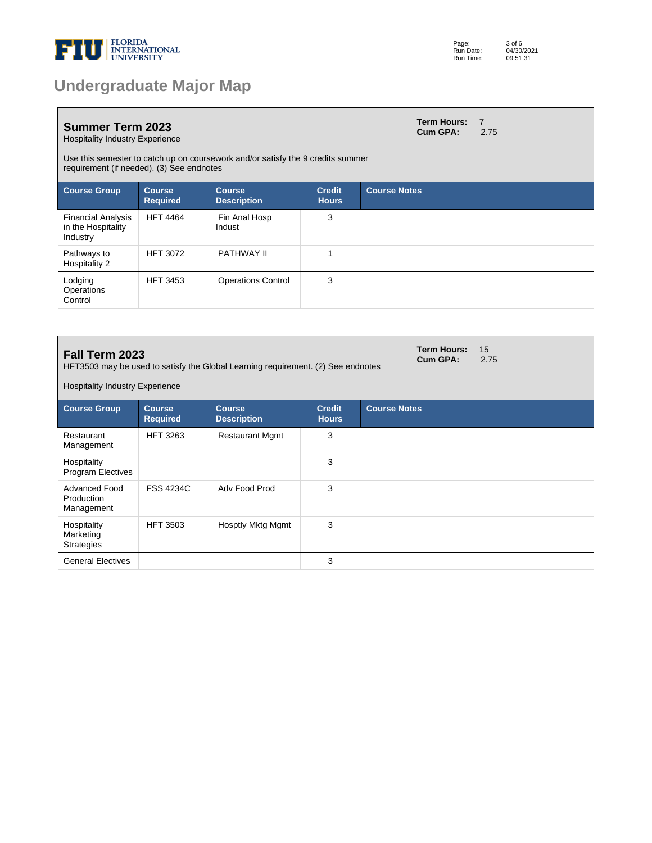

| <b>Undergraduate Major Map</b> |  |  |
|--------------------------------|--|--|
|--------------------------------|--|--|

| <b>Summer Term 2023</b><br><b>Hospitality Industry Experience</b><br>Use this semester to catch up on coursework and/or satisfy the 9 credits summer<br>requirement (if needed). (3) See endnotes |                                  |                                     |                               |                     | <b>Term Hours:</b><br>Cum GPA: | $\overline{7}$<br>2.75 |
|---------------------------------------------------------------------------------------------------------------------------------------------------------------------------------------------------|----------------------------------|-------------------------------------|-------------------------------|---------------------|--------------------------------|------------------------|
| <b>Course Group</b>                                                                                                                                                                               | <b>Course</b><br><b>Required</b> | <b>Course</b><br><b>Description</b> | <b>Credit</b><br><b>Hours</b> | <b>Course Notes</b> |                                |                        |
| <b>Financial Analysis</b><br>in the Hospitality<br>Industry                                                                                                                                       | <b>HFT 4464</b>                  | Fin Anal Hosp<br>Indust             | 3                             |                     |                                |                        |
| Pathways to<br>Hospitality 2                                                                                                                                                                      | <b>HFT 3072</b>                  | <b>PATHWAY II</b>                   | 1                             |                     |                                |                        |
| Lodging<br>Operations<br>Control                                                                                                                                                                  | <b>HFT 3453</b>                  | <b>Operations Control</b>           | 3                             |                     |                                |                        |

| Fall Term 2023<br>HFT3503 may be used to satisfy the Global Learning requirement. (2) See endnotes<br><b>Hospitality Industry Experience</b> |                                  |                                     |                               |                     | <b>Term Hours:</b><br>Cum GPA: | 15<br>2.75 |
|----------------------------------------------------------------------------------------------------------------------------------------------|----------------------------------|-------------------------------------|-------------------------------|---------------------|--------------------------------|------------|
| <b>Course Group</b>                                                                                                                          | <b>Course</b><br><b>Required</b> | <b>Course</b><br><b>Description</b> | <b>Credit</b><br><b>Hours</b> | <b>Course Notes</b> |                                |            |
| Restaurant<br>Management                                                                                                                     | <b>HFT 3263</b>                  | <b>Restaurant Mgmt</b>              | 3                             |                     |                                |            |
| Hospitality<br><b>Program Electives</b>                                                                                                      |                                  |                                     | 3                             |                     |                                |            |
| Advanced Food<br>Production<br>Management                                                                                                    | <b>FSS 4234C</b>                 | Adv Food Prod                       | 3                             |                     |                                |            |
| Hospitality<br>Marketing<br><b>Strategies</b>                                                                                                | <b>HFT 3503</b>                  | Hosptly Mktg Mgmt                   | 3                             |                     |                                |            |
| <b>General Electives</b>                                                                                                                     |                                  |                                     | 3                             |                     |                                |            |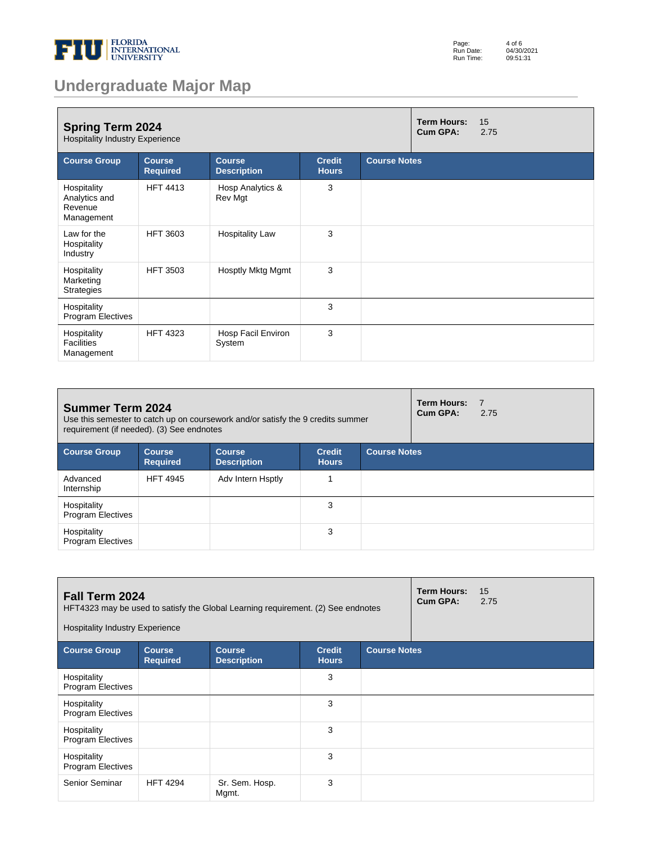

| Page:     | 4 of 6     |
|-----------|------------|
| Run Date: | 04/30/2021 |
| Run Time: | 09:51:31   |

| <b>Spring Term 2024</b><br><b>Hospitality Industry Experience</b> |                                  |                                     |                               |                     |  | 15<br>2.75 |
|-------------------------------------------------------------------|----------------------------------|-------------------------------------|-------------------------------|---------------------|--|------------|
| <b>Course Group</b>                                               | <b>Course</b><br><b>Required</b> | <b>Course</b><br><b>Description</b> | <b>Credit</b><br><b>Hours</b> | <b>Course Notes</b> |  |            |
| Hospitality<br>Analytics and<br>Revenue<br>Management             | <b>HFT 4413</b>                  | Hosp Analytics &<br>Rev Mgt         | 3                             |                     |  |            |
| Law for the<br>Hospitality<br>Industry                            | <b>HFT 3603</b>                  | <b>Hospitality Law</b>              | 3                             |                     |  |            |
| Hospitality<br>Marketing<br><b>Strategies</b>                     | <b>HFT 3503</b>                  | Hosptly Mktg Mgmt                   | 3                             |                     |  |            |
| Hospitality<br>Program Electives                                  |                                  |                                     | 3                             |                     |  |            |
| Hospitality<br><b>Facilities</b><br>Management                    | <b>HFT 4323</b>                  | Hosp Facil Environ<br>System        | 3                             |                     |  |            |

| <b>Summer Term 2024</b><br>Use this semester to catch up on coursework and/or satisfy the 9 credits summer<br>requirement (if needed). (3) See endnotes |                                  |                                     |                               |                     | <b>Term Hours:</b><br>Cum GPA: | $\overline{7}$<br>2.75 |
|---------------------------------------------------------------------------------------------------------------------------------------------------------|----------------------------------|-------------------------------------|-------------------------------|---------------------|--------------------------------|------------------------|
| <b>Course Group</b>                                                                                                                                     | <b>Course</b><br><b>Required</b> | <b>Course</b><br><b>Description</b> | <b>Credit</b><br><b>Hours</b> | <b>Course Notes</b> |                                |                        |
| Advanced<br>Internship                                                                                                                                  | <b>HFT 4945</b>                  | Adv Intern Hsptly                   |                               |                     |                                |                        |
| Hospitality<br><b>Program Electives</b>                                                                                                                 |                                  |                                     | 3                             |                     |                                |                        |
| Hospitality<br><b>Program Electives</b>                                                                                                                 |                                  |                                     | 3                             |                     |                                |                        |

| <b>Fall Term 2024</b><br>HFT4323 may be used to satisfy the Global Learning requirement. (2) See endnotes<br><b>Hospitality Industry Experience</b> |                                  |                                     |                               |                     | <b>Term Hours:</b><br>Cum GPA: | 15<br>2.75 |
|-----------------------------------------------------------------------------------------------------------------------------------------------------|----------------------------------|-------------------------------------|-------------------------------|---------------------|--------------------------------|------------|
| <b>Course Group</b>                                                                                                                                 | <b>Course</b><br><b>Required</b> | <b>Course</b><br><b>Description</b> | <b>Credit</b><br><b>Hours</b> | <b>Course Notes</b> |                                |            |
| Hospitality<br><b>Program Electives</b>                                                                                                             |                                  |                                     | 3                             |                     |                                |            |
| Hospitality<br><b>Program Electives</b>                                                                                                             |                                  |                                     | 3                             |                     |                                |            |
| Hospitality<br><b>Program Electives</b>                                                                                                             |                                  |                                     | 3                             |                     |                                |            |
| Hospitality<br><b>Program Electives</b>                                                                                                             |                                  |                                     | 3                             |                     |                                |            |
| Senior Seminar                                                                                                                                      | <b>HFT 4294</b>                  | Sr. Sem. Hosp.<br>Mgmt.             | 3                             |                     |                                |            |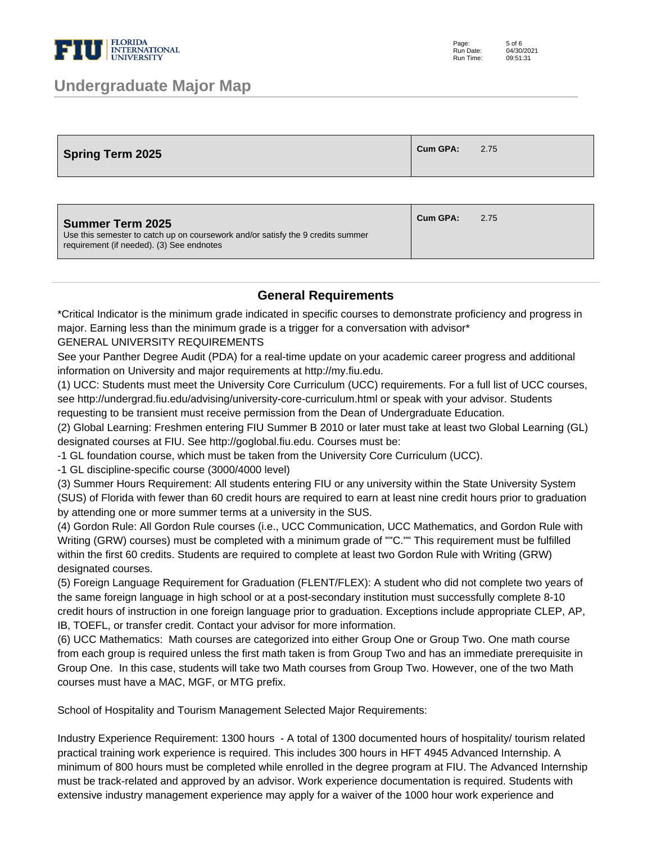

| <b>Spring Term 2025</b> | <b>Cum GPA:</b> | 2.75 |
|-------------------------|-----------------|------|
|-------------------------|-----------------|------|

| <b>Summer Term 2025</b><br>Use this semester to catch up on coursework and/or satisfy the 9 credits summer<br>requirement (if needed). (3) See endnotes | Cum GPA: | 2.75 |
|---------------------------------------------------------------------------------------------------------------------------------------------------------|----------|------|
|                                                                                                                                                         |          |      |

#### **General Requirements**

\*Critical Indicator is the minimum grade indicated in specific courses to demonstrate proficiency and progress in major. Earning less than the minimum grade is a trigger for a conversation with advisor\*

GENERAL UNIVERSITY REQUIREMENTS

See your Panther Degree Audit (PDA) for a real-time update on your academic career progress and additional information on University and major requirements at http://my.fiu.edu.

(1) UCC: Students must meet the University Core Curriculum (UCC) requirements. For a full list of UCC courses, see http://undergrad.fiu.edu/advising/university-core-curriculum.html or speak with your advisor. Students requesting to be transient must receive permission from the Dean of Undergraduate Education.

(2) Global Learning: Freshmen entering FIU Summer B 2010 or later must take at least two Global Learning (GL) designated courses at FIU. See http://goglobal.fiu.edu. Courses must be:

- 1 GL foundation course, which must be taken from the University Core Curriculum (UCC).

- 1 GL discipline-specific course (3000/4000 level)

(3) Summer Hours Requirement: All students entering FIU or any university within the State University System (SUS) of Florida with fewer than 60 credit hours are required to earn at least nine credit hours prior to graduation by attending one or more summer terms at a university in the SUS.

(4) Gordon Rule: All Gordon Rule courses (i.e., UCC Communication, UCC Mathematics, and Gordon Rule with Writing (GRW) courses) must be completed with a minimum grade of ""C."" This requirement must be fulfilled within the first 60 credits. Students are required to complete at least two Gordon Rule with Writing (GRW) designated courses.

(5) Foreign Language Requirement for Graduation (FLENT/FLEX): A student who did not complete two years of the same foreign language in high school or at a post-secondary institution must successfully complete 8-10 credit hours of instruction in one foreign language prior to graduation. Exceptions include appropriate CLEP, AP, IB, TOEFL, or transfer credit. Contact your advisor for more information.

(6) UCC Mathematics: Math courses are categorized into either Group One or Group Two. One math course from each group is required unless the first math taken is from Group Two and has an immediate prerequisite in Group One. In this case, students will take two Math courses from Group Two. However, one of the two Math courses must have a MAC, MGF, or MTG prefix.

School of Hospitality and Tourism Management Selected Major Requirements:

Industry Experience Requirement: 1300 hours - A total of 1300 documented hours of hospitality/ tourism related practical training work experience is required. This includes 300 hours in HFT 4945 Advanced Internship. A minimum of 800 hours must be completed while enrolled in the degree program at FIU. The Advanced Internship must be track-related and approved by an advisor. Work experience documentation is required. Students with extensive industry management experience may apply for a waiver of the 1000 hour work experience and